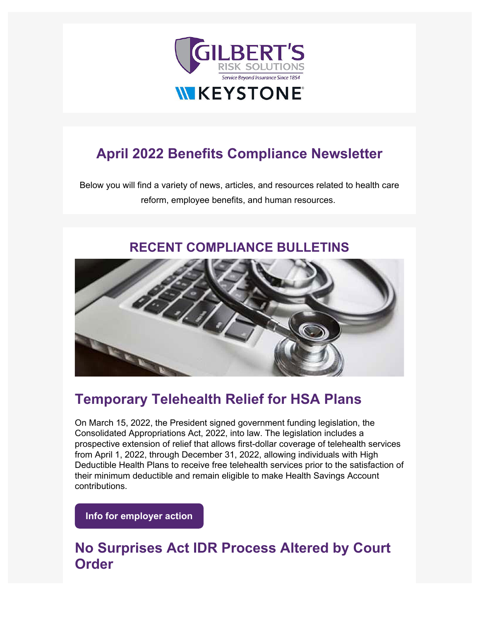

# **April 2022 Benefits Compliance Newsletter**

Below you will find a variety of news, articles, and resources related to health care reform, employee benefits, and human resources.

#### **RECENT COMPLIANCE BULLETINS**



## **[Temporary Telehealth Relief for HSA Plans](https://emersonreid.dmplocal.com/main/index.php?wd=ArticleGateway&dmp_tag=New%20OTC%20COVID-19%20Testing%20Coverage%20Guidance%20Published&article_id=23977&smart_skin_id=523&viewers_email=%5Brecipient_email%5D&id=%5Bid%5D&ids=%5Bids%5D&utm_campaign=Benefits_Newsletter&utm_source=hs_email&utm_medium=email&_hsenc=p2ANqtz-82zb9KBOU377x6iSSl_Vw7xyIrA6FxXwa8NbgcOBPeh6cXOg9liuildIn9jXTxKsjxhH8G)**

On March 15, 2022, the President signed government funding legislation, the Consolidated Appropriations Act, 2022, into law. The legislation includes a prospective extension of relief that allows first-dollar coverage of telehealth services from April 1, 2022, through December 31, 2022, allowing individuals with High Deductible Health Plans to receive free telehealth services prior to the satisfaction of their minimum deductible and remain eligible to make Health Savings Account contributions.

**[Info for employer action](https://emersonreid.dmplocal.com/main/index.php?wd=ArticleGateway&article_id=24113&smart_skin_id=540&viewers_email=jfirst%40gilbertsrisksolutions.com%20%7Bowner%3Djginnis%40gilbertsrisksolutions.com%7D&id=49413&ids=bdb7f6d99b5b1dae94ace3a2edc0e1fc3dddbafc&utm_content=ElILEEZEIgZZCQBUSxILRgsRXkMNDUURC15XFVZXDQ8VSw0WXgAQDFMBEVoMC0ZwBQhcBwdDTRUKXREJRl8OFEQMDV9KSBtbDx8%3D&utm_campaign=Benefits_Newsletter&utm_source=hs_email&utm_medium=email&_hsenc=p2ANqtz-82zb9KBOU377x6iSSl_Vw7xyIrA6FxXwa8NbgcOBPeh6cXOg9liuildIn9jXTxKsjxhH8G)**

## **No Surprises Act IDR Process Altered by Court Order**